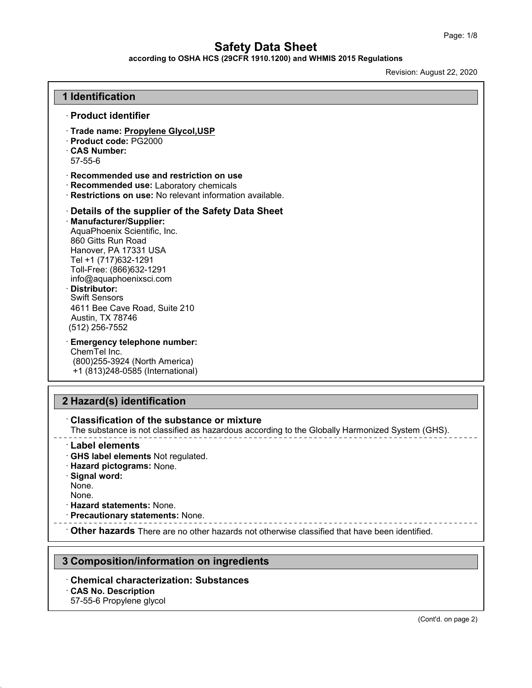**according to OSHA HCS (29CFR 1910.1200) and WHMIS 2015 Regulations**

Revision: August 22, 2020

| <b>1 Identification</b>                                                                                                                                                                                                                                                                                                                                     |  |
|-------------------------------------------------------------------------------------------------------------------------------------------------------------------------------------------------------------------------------------------------------------------------------------------------------------------------------------------------------------|--|
| · Product identifier                                                                                                                                                                                                                                                                                                                                        |  |
| · Trade name: Propylene Glycol, USP<br>· Product code: PG2000<br><b>CAS Number:</b><br>$57 - 55 - 6$                                                                                                                                                                                                                                                        |  |
| $\cdot$ Recommended use and restriction on use<br>Recommended use: Laboratory chemicals<br>Restrictions on use: No relevant information available.                                                                                                                                                                                                          |  |
| Details of the supplier of the Safety Data Sheet<br>· Manufacturer/Supplier:<br>AquaPhoenix Scientific, Inc.<br>860 Gitts Run Road<br>Hanover, PA 17331 USA<br>Tel +1 (717)632-1291<br>Toll-Free: (866)632-1291<br>info@aquaphoenixsci.com<br>· Distributor:<br><b>Swift Sensors</b><br>4611 Bee Cave Road, Suite 210<br>Austin, TX 78746<br>(512) 256-7552 |  |
| <b>Emergency telephone number:</b><br>ChemTel Inc.<br>(800) 255-3924 (North America)<br>+1 (813)248-0585 (International)                                                                                                                                                                                                                                    |  |

#### · **Classification of the substance or mixture**

The substance is not classified as hazardous according to the Globally Harmonized System (GHS).

- · **Label elements**
- · **GHS label elements** Not regulated.
- · **Hazard pictograms:** None.
- · **Signal word:**
- None.
- None.
- · **Hazard statements:** None.
- · **Precautionary statements:** None.

· **Other hazards** There are no other hazards not otherwise classified that have been identified.

### **3 Composition/information on ingredients**

# · **Chemical characterization: Substances**

### · **CAS No. Description**

57-55-6 Propylene glycol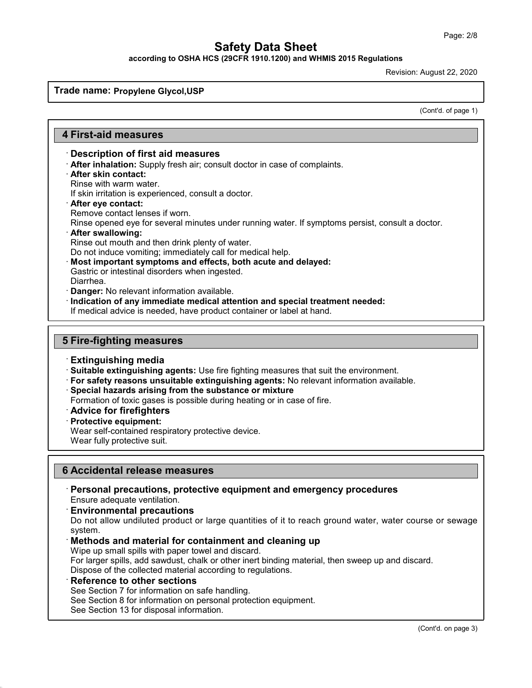**according to OSHA HCS (29CFR 1910.1200) and WHMIS 2015 Regulations**

Revision: August 22, 2020

**Trade name: Propylene Glycol,USP**

(Cont'd. of page 1)

### **4 First-aid measures**

#### · **Description of first aid measures**

- · **After inhalation:** Supply fresh air; consult doctor in case of complaints.
- · **After skin contact:**
- Rinse with warm water.

If skin irritation is experienced, consult a doctor.

- · **After eye contact:**
- Remove contact lenses if worn.

Rinse opened eye for several minutes under running water. If symptoms persist, consult a doctor.

· **After swallowing:**

Rinse out mouth and then drink plenty of water.

Do not induce vomiting; immediately call for medical help.

- · **Most important symptoms and effects, both acute and delayed:**
- Gastric or intestinal disorders when ingested.
- Diarrhea.
- · **Danger:** No relevant information available.
- · **Indication of any immediate medical attention and special treatment needed:**
- If medical advice is needed, have product container or label at hand.

### **5 Fire-fighting measures**

- · **Extinguishing media**
- · **Suitable extinguishing agents:** Use fire fighting measures that suit the environment.
- · **For safety reasons unsuitable extinguishing agents:** No relevant information available.
- · **Special hazards arising from the substance or mixture**
- Formation of toxic gases is possible during heating or in case of fire.
- · **Advice for firefighters**
- · **Protective equipment:**

Wear self-contained respiratory protective device.

Wear fully protective suit.

#### **6 Accidental release measures**

· **Personal precautions, protective equipment and emergency procedures** Ensure adequate ventilation.

#### · **Environmental precautions**

Do not allow undiluted product or large quantities of it to reach ground water, water course or sewage system.

#### · **Methods and material for containment and cleaning up**

Wipe up small spills with paper towel and discard.

For larger spills, add sawdust, chalk or other inert binding material, then sweep up and discard. Dispose of the collected material according to regulations.

**Reference to other sections** 

See Section 7 for information on safe handling.

See Section 8 for information on personal protection equipment.

See Section 13 for disposal information.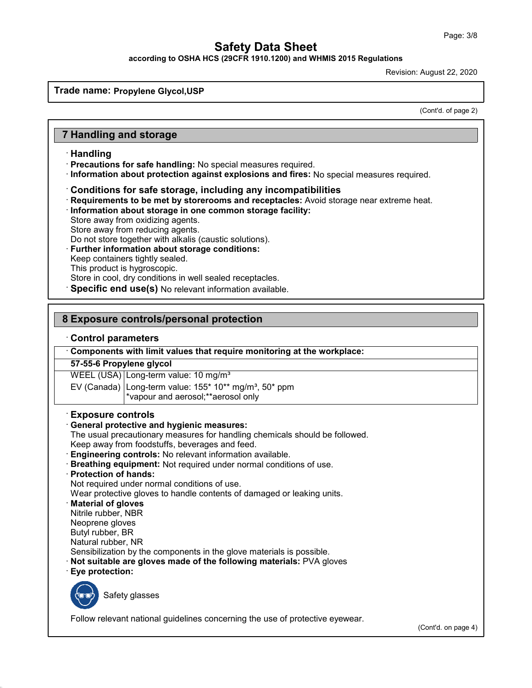**according to OSHA HCS (29CFR 1910.1200) and WHMIS 2015 Regulations**

Revision: August 22, 2020

**Trade name: Propylene Glycol,USP**

(Cont'd. of page 2)

#### **7 Handling and storage**

- · **Handling**
- · **Precautions for safe handling:** No special measures required.
- · **Information about protection against explosions and fires:** No special measures required.

#### · **Conditions for safe storage, including any incompatibilities**

- · **Requirements to be met by storerooms and receptacles:** Avoid storage near extreme heat.
- · **Information about storage in one common storage facility:**
- Store away from oxidizing agents.
- Store away from reducing agents.

Do not store together with alkalis (caustic solutions).

- **Further information about storage conditions:**
- Keep containers tightly sealed.
- This product is hygroscopic.

Store in cool, dry conditions in well sealed receptacles.

Specific end use(s) No relevant information available.

#### **8 Exposure controls/personal protection**

#### · **Control parameters**

· **Components with limit values that require monitoring at the workplace:**

#### **57-55-6 Propylene glycol**

WEEL (USA) Long-term value: 10 mg/m<sup>3</sup>

EV (Canada) Long-term value:  $155*10**$  mg/m<sup>3</sup>,  $50*$  ppm \*vapour and aerosol;\*\*aerosol only

#### · **Exposure controls**

#### · **General protective and hygienic measures:**

The usual precautionary measures for handling chemicals should be followed. Keep away from foodstuffs, beverages and feed.

- · **Engineering controls:** No relevant information available.
- · **Breathing equipment:** Not required under normal conditions of use.
- · **Protection of hands:**

Not required under normal conditions of use.

Wear protective gloves to handle contents of damaged or leaking units.

- · **Material of gloves** Nitrile rubber, NBR
- Neoprene gloves
- Butyl rubber, BR
- Natural rubber, NR

Sensibilization by the components in the glove materials is possible.

- · **Not suitable are gloves made of the following materials:** PVA gloves
- · **Eye protection:**



Safety glasses

Follow relevant national guidelines concerning the use of protective eyewear.

(Cont'd. on page 4)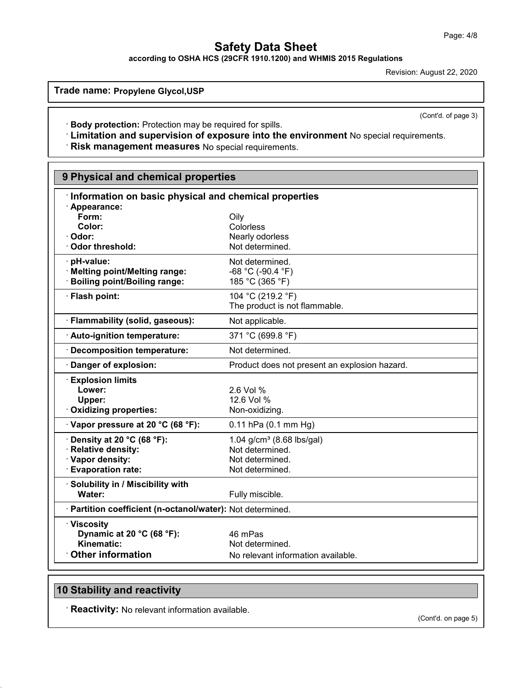**according to OSHA HCS (29CFR 1910.1200) and WHMIS 2015 Regulations**

Revision: August 22, 2020

(Cont'd. of page 3)

**Trade name: Propylene Glycol,USP**

· **Body protection:** Protection may be required for spills.

· **Limitation and supervision of exposure into the environment** No special requirements.

· **Risk management measures** No special requirements.

| 9 Physical and chemical properties                                                                  |                                                                                       |  |
|-----------------------------------------------------------------------------------------------------|---------------------------------------------------------------------------------------|--|
| Information on basic physical and chemical properties                                               |                                                                                       |  |
| · Appearance:<br>Form:<br>Color:<br>· Odor:<br>Odor threshold:                                      | Oily<br>Colorless<br>Nearly odorless<br>Not determined.                               |  |
| · pH-value:<br>· Melting point/Melting range:<br>· Boiling point/Boiling range:                     | Not determined.<br>$-68 °C (-90.4 °F)$<br>185 °C (365 °F)                             |  |
| · Flash point:                                                                                      | 104 °C (219.2 °F)<br>The product is not flammable.                                    |  |
| · Flammability (solid, gaseous):                                                                    | Not applicable.                                                                       |  |
| · Auto-ignition temperature:                                                                        | 371 °C (699.8 °F)                                                                     |  |
| Decomposition temperature:                                                                          | Not determined.                                                                       |  |
| · Danger of explosion:                                                                              | Product does not present an explosion hazard.                                         |  |
| <b>Explosion limits</b><br>Lower:<br>Upper:<br>· Oxidizing properties:                              | 2.6 Vol %<br>12.6 Vol %<br>Non-oxidizing.                                             |  |
| $\cdot$ Vapor pressure at 20 °C (68 °F):                                                            | $0.11$ hPa $(0.1$ mm Hg)                                                              |  |
| $\cdot$ Density at 20 °C (68 °F):<br>· Relative density:<br>· Vapor density:<br>· Evaporation rate: | 1.04 $g/cm^3$ (8.68 lbs/gal)<br>Not determined.<br>Not determined.<br>Not determined. |  |
| · Solubility in / Miscibility with<br>Water:                                                        | Fully miscible.                                                                       |  |
| · Partition coefficient (n-octanol/water): Not determined.                                          |                                                                                       |  |
| · Viscosity<br>Dynamic at 20 °C (68 °F):<br>Kinematic:<br><b>Other information</b>                  | 46 mPas<br>Not determined.<br>No relevant information available.                      |  |

### **10 Stability and reactivity**

· **Reactivity:** No relevant information available.

(Cont'd. on page 5)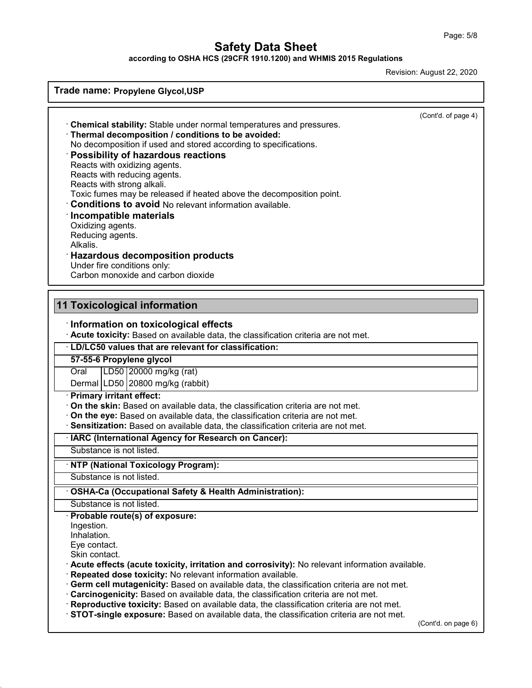**according to OSHA HCS (29CFR 1910.1200) and WHMIS 2015 Regulations**

Revision: August 22, 2020

| Trade name: Propylene Glycol, USP                                                                                                                                                                                                                                                                                                                                                                                                                                                                                                                                                                                                                                         |                     |
|---------------------------------------------------------------------------------------------------------------------------------------------------------------------------------------------------------------------------------------------------------------------------------------------------------------------------------------------------------------------------------------------------------------------------------------------------------------------------------------------------------------------------------------------------------------------------------------------------------------------------------------------------------------------------|---------------------|
| Chemical stability: Stable under normal temperatures and pressures.<br>Thermal decomposition / conditions to be avoided:<br>No decomposition if used and stored according to specifications.<br>Possibility of hazardous reactions<br>Reacts with oxidizing agents.<br>Reacts with reducing agents.<br>Reacts with strong alkali.<br>Toxic fumes may be released if heated above the decomposition point.<br><b>Conditions to avoid No relevant information available.</b><br>Incompatible materials<br>Oxidizing agents.<br>Reducing agents.<br>Alkalis.<br><b>Hazardous decomposition products</b><br>Under fire conditions only:<br>Carbon monoxide and carbon dioxide | (Cont'd. of page 4) |
| <b>11 Toxicological information</b>                                                                                                                                                                                                                                                                                                                                                                                                                                                                                                                                                                                                                                       |                     |
| Information on toxicological effects<br>Acute toxicity: Based on available data, the classification criteria are not met.                                                                                                                                                                                                                                                                                                                                                                                                                                                                                                                                                 |                     |
| · LD/LC50 values that are relevant for classification:                                                                                                                                                                                                                                                                                                                                                                                                                                                                                                                                                                                                                    |                     |
| 57-55-6 Propylene glycol                                                                                                                                                                                                                                                                                                                                                                                                                                                                                                                                                                                                                                                  |                     |
| LD50 20000 mg/kg (rat)<br>Oral                                                                                                                                                                                                                                                                                                                                                                                                                                                                                                                                                                                                                                            |                     |
| Dermal   LD50   20800 mg/kg (rabbit)                                                                                                                                                                                                                                                                                                                                                                                                                                                                                                                                                                                                                                      |                     |
| · Primary irritant effect:<br>On the skin: Based on available data, the classification criteria are not met.<br>On the eye: Based on available data, the classification criteria are not met.<br>Sensitization: Based on available data, the classification criteria are not met.                                                                                                                                                                                                                                                                                                                                                                                         |                     |
| · IARC (International Agency for Research on Cancer):                                                                                                                                                                                                                                                                                                                                                                                                                                                                                                                                                                                                                     |                     |
| Substance is not listed.                                                                                                                                                                                                                                                                                                                                                                                                                                                                                                                                                                                                                                                  |                     |
| · NTP (National Toxicology Program):                                                                                                                                                                                                                                                                                                                                                                                                                                                                                                                                                                                                                                      |                     |
| Substance is not listed.                                                                                                                                                                                                                                                                                                                                                                                                                                                                                                                                                                                                                                                  |                     |
| OSHA-Ca (Occupational Safety & Health Administration):                                                                                                                                                                                                                                                                                                                                                                                                                                                                                                                                                                                                                    |                     |
| Substance is not listed.                                                                                                                                                                                                                                                                                                                                                                                                                                                                                                                                                                                                                                                  |                     |
| Probable route(s) of exposure:<br>Ingestion.                                                                                                                                                                                                                                                                                                                                                                                                                                                                                                                                                                                                                              |                     |
| Inhalation.                                                                                                                                                                                                                                                                                                                                                                                                                                                                                                                                                                                                                                                               |                     |
| Eye contact.                                                                                                                                                                                                                                                                                                                                                                                                                                                                                                                                                                                                                                                              |                     |
| Skin contact.<br>· Acute effects (acute toxicity, irritation and corrosivity): No relevant information available.                                                                                                                                                                                                                                                                                                                                                                                                                                                                                                                                                         |                     |
| Repeated dose toxicity: No relevant information available.                                                                                                                                                                                                                                                                                                                                                                                                                                                                                                                                                                                                                |                     |
| Germ cell mutagenicity: Based on available data, the classification criteria are not met.                                                                                                                                                                                                                                                                                                                                                                                                                                                                                                                                                                                 |                     |
| Carcinogenicity: Based on available data, the classification criteria are not met.                                                                                                                                                                                                                                                                                                                                                                                                                                                                                                                                                                                        |                     |
| Reproductive toxicity: Based on available data, the classification criteria are not met.<br>STOT-single exposure: Based on available data, the classification criteria are not met.                                                                                                                                                                                                                                                                                                                                                                                                                                                                                       |                     |
|                                                                                                                                                                                                                                                                                                                                                                                                                                                                                                                                                                                                                                                                           | (Cont'd. on page 6) |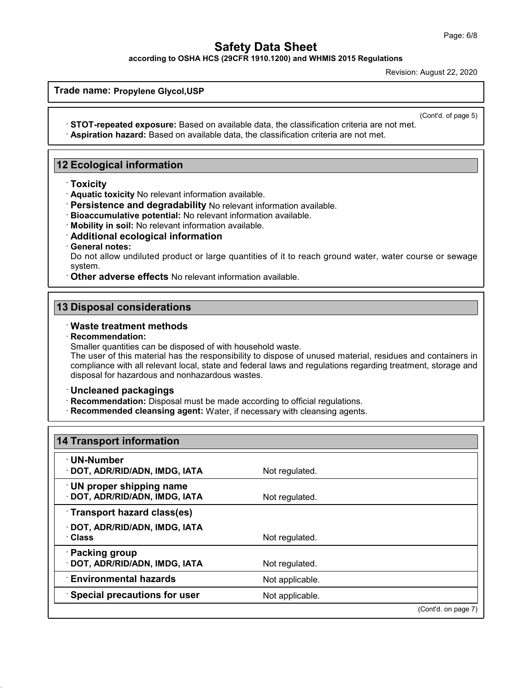**according to OSHA HCS (29CFR 1910.1200) and WHMIS 2015 Regulations**

Revision: August 22, 2020

**Trade name: Propylene Glycol,USP**

(Cont'd. of page 5)

· **STOT-repeated exposure:** Based on available data, the classification criteria are not met. · **Aspiration hazard:** Based on available data, the classification criteria are not met.

### **12 Ecological information**

- · **Toxicity**
- · **Aquatic toxicity** No relevant information available.
- · **Persistence and degradability** No relevant information available.
- · **Bioaccumulative potential:** No relevant information available.
- · **Mobility in soil:** No relevant information available.
- · **Additional ecological information**
- · **General notes:**

Do not allow undiluted product or large quantities of it to reach ground water, water course or sewage system.

· **Other adverse effects** No relevant information available.

#### **13 Disposal considerations**

#### · **Waste treatment methods**

#### · **Recommendation:**

Smaller quantities can be disposed of with household waste.

The user of this material has the responsibility to dispose of unused material, residues and containers in compliance with all relevant local, state and federal laws and regulations regarding treatment, storage and disposal for hazardous and nonhazardous wastes.

#### · **Uncleaned packagings**

- · **Recommendation:** Disposal must be made according to official regulations.
- · **Recommended cleansing agent:** Water, if necessary with cleansing agents.

| Not regulated.  |  |
|-----------------|--|
| Not regulated.  |  |
|                 |  |
| Not regulated.  |  |
| Not regulated.  |  |
| Not applicable. |  |
| Not applicable. |  |
|                 |  |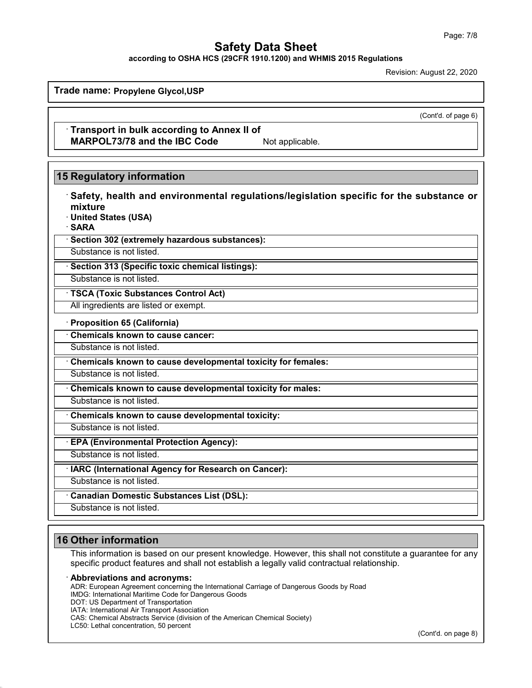**according to OSHA HCS (29CFR 1910.1200) and WHMIS 2015 Regulations**

Revision: August 22, 2020

**Trade name: Propylene Glycol,USP**

(Cont'd. of page 6)

· **Transport in bulk according to Annex II of MARPOL73/78 and the IBC Code** Not applicable.

### **15 Regulatory information**

| Safety, health and environmental regulations/legislation specific for the substance or |
|----------------------------------------------------------------------------------------|
| mixture                                                                                |
| · United States (USA)<br>∙SARA                                                         |
| · Section 302 (extremely hazardous substances):                                        |
| Substance is not listed.                                                               |
| · Section 313 (Specific toxic chemical listings):                                      |
| Substance is not listed.                                                               |
| · TSCA (Toxic Substances Control Act)                                                  |
| All ingredients are listed or exempt.                                                  |
| · Proposition 65 (California)                                                          |
| Chemicals known to cause cancer:                                                       |
| Substance is not listed.                                                               |
| Chemicals known to cause developmental toxicity for females:                           |
| Substance is not listed.                                                               |
| Chemicals known to cause developmental toxicity for males:                             |
| Substance is not listed.                                                               |
| Chemicals known to cause developmental toxicity:                                       |
| Substance is not listed.                                                               |
| <b>EPA (Environmental Protection Agency):</b>                                          |
| Substance is not listed.                                                               |
| · IARC (International Agency for Research on Cancer):                                  |
| Substance is not listed.                                                               |
| <b>Canadian Domestic Substances List (DSL):</b>                                        |
| Substance is not listed.                                                               |
|                                                                                        |

### **16 Other information**

This information is based on our present knowledge. However, this shall not constitute a guarantee for any specific product features and shall not establish a legally valid contractual relationship.

#### · **Abbreviations and acronyms:**

ADR: European Agreement concerning the International Carriage of Dangerous Goods by Road

IMDG: International Maritime Code for Dangerous Goods

DOT: US Department of Transportation

IATA: International Air Transport Association

CAS: Chemical Abstracts Service (division of the American Chemical Society)

LC50: Lethal concentration, 50 percent

(Cont'd. on page 8)